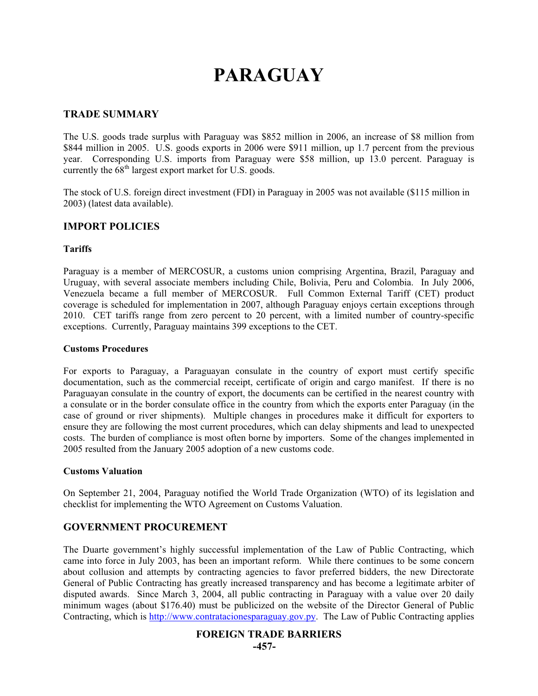# **PARAGUAY**

## **TRADE SUMMARY**

The U.S. goods trade surplus with Paraguay was \$852 million in 2006, an increase of \$8 million from \$844 million in 2005. U.S. goods exports in 2006 were \$911 million, up 1.7 percent from the previous year. Corresponding U.S. imports from Paraguay were \$58 million, up 13.0 percent. Paraguay is currently the  $68<sup>th</sup>$  largest export market for U.S. goods.

The stock of U.S. foreign direct investment (FDI) in Paraguay in 2005 was not available (\$115 million in 2003) (latest data available).

# **IMPORT POLICIES**

#### **Tariffs**

Paraguay is a member of MERCOSUR, a customs union comprising Argentina, Brazil, Paraguay and Uruguay, with several associate members including Chile, Bolivia, Peru and Colombia. In July 2006, Venezuela became a full member of MERCOSUR. Full Common External Tariff (CET) product coverage is scheduled for implementation in 2007, although Paraguay enjoys certain exceptions through 2010. CET tariffs range from zero percent to 20 percent, with a limited number of country-specific exceptions. Currently, Paraguay maintains 399 exceptions to the CET.

#### **Customs Procedures**

For exports to Paraguay, a Paraguayan consulate in the country of export must certify specific documentation, such as the commercial receipt, certificate of origin and cargo manifest. If there is no Paraguayan consulate in the country of export, the documents can be certified in the nearest country with a consulate or in the border consulate office in the country from which the exports enter Paraguay (in the case of ground or river shipments). Multiple changes in procedures make it difficult for exporters to ensure they are following the most current procedures, which can delay shipments and lead to unexpected costs. The burden of compliance is most often borne by importers. Some of the changes implemented in 2005 resulted from the January 2005 adoption of a new customs code.

#### **Customs Valuation**

On September 21, 2004, Paraguay notified the World Trade Organization (WTO) of its legislation and checklist for implementing the WTO Agreement on Customs Valuation.

## **GOVERNMENT PROCUREMENT**

The Duarte government's highly successful implementation of the Law of Public Contracting, which came into force in July 2003, has been an important reform. While there continues to be some concern about collusion and attempts by contracting agencies to favor preferred bidders, the new Directorate General of Public Contracting has greatly increased transparency and has become a legitimate arbiter of disputed awards. Since March 3, 2004, all public contracting in Paraguay with a value over 20 daily minimum wages (about \$176.40) must be publicized on the website of the Director General of Public Contracting, which is http://www.contratacionesparaguay.gov.py. The Law of Public Contracting applies

## **FOREIGN TRADE BARRIERS**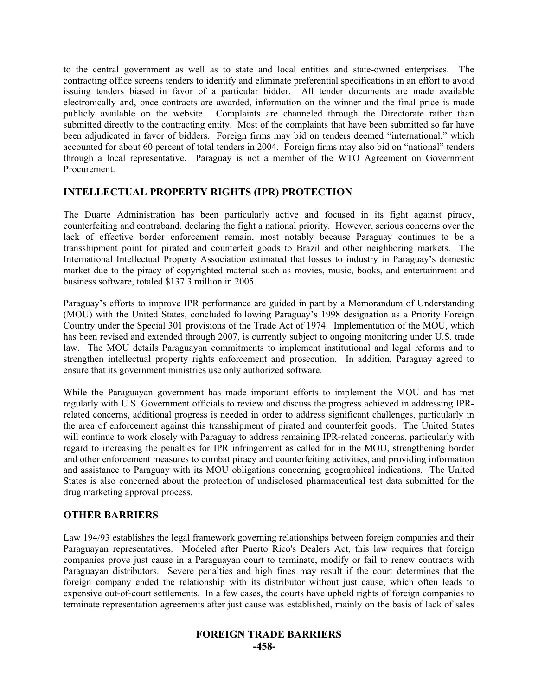to the central government as well as to state and local entities and state-owned enterprises. The contracting office screens tenders to identify and eliminate preferential specifications in an effort to avoid issuing tenders biased in favor of a particular bidder. All tender documents are made available electronically and, once contracts are awarded, information on the winner and the final price is made publicly available on the website. Complaints are channeled through the Directorate rather than submitted directly to the contracting entity. Most of the complaints that have been submitted so far have been adjudicated in favor of bidders. Foreign firms may bid on tenders deemed "international," which accounted for about 60 percent of total tenders in 2004. Foreign firms may also bid on "national" tenders through a local representative. Paraguay is not a member of the WTO Agreement on Government Procurement.

# **INTELLECTUAL PROPERTY RIGHTS (IPR) PROTECTION**

The Duarte Administration has been particularly active and focused in its fight against piracy, counterfeiting and contraband, declaring the fight a national priority. However, serious concerns over the lack of effective border enforcement remain, most notably because Paraguay continues to be a transshipment point for pirated and counterfeit goods to Brazil and other neighboring markets. The International Intellectual Property Association estimated that losses to industry in Paraguay's domestic market due to the piracy of copyrighted material such as movies, music, books, and entertainment and business software, totaled \$137.3 million in 2005.

Paraguay's efforts to improve IPR performance are guided in part by a Memorandum of Understanding (MOU) with the United States, concluded following Paraguay's 1998 designation as a Priority Foreign Country under the Special 301 provisions of the Trade Act of 1974. Implementation of the MOU, which has been revised and extended through 2007, is currently subject to ongoing monitoring under U.S. trade law. The MOU details Paraguayan commitments to implement institutional and legal reforms and to strengthen intellectual property rights enforcement and prosecution. In addition, Paraguay agreed to ensure that its government ministries use only authorized software.

While the Paraguayan government has made important efforts to implement the MOU and has met regularly with U.S. Government officials to review and discuss the progress achieved in addressing IPRrelated concerns, additional progress is needed in order to address significant challenges, particularly in the area of enforcement against this transshipment of pirated and counterfeit goods. The United States will continue to work closely with Paraguay to address remaining IPR-related concerns, particularly with regard to increasing the penalties for IPR infringement as called for in the MOU, strengthening border and other enforcement measures to combat piracy and counterfeiting activities, and providing information and assistance to Paraguay with its MOU obligations concerning geographical indications. The United States is also concerned about the protection of undisclosed pharmaceutical test data submitted for the drug marketing approval process.

# **OTHER BARRIERS**

Law 194/93 establishes the legal framework governing relationships between foreign companies and their Paraguayan representatives. Modeled after Puerto Rico's Dealers Act, this law requires that foreign companies prove just cause in a Paraguayan court to terminate, modify or fail to renew contracts with Paraguayan distributors. Severe penalties and high fines may result if the court determines that the foreign company ended the relationship with its distributor without just cause, which often leads to expensive out-of-court settlements. In a few cases, the courts have upheld rights of foreign companies to terminate representation agreements after just cause was established, mainly on the basis of lack of sales

# **FOREIGN TRADE BARRIERS -458-**